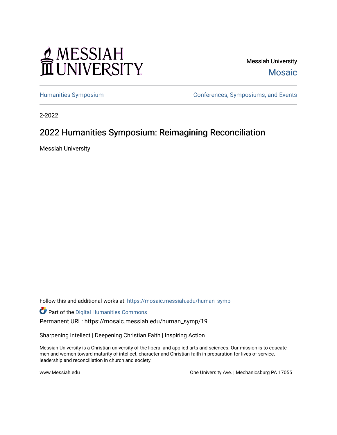# MESSIAH

Messiah University [Mosaic](https://mosaic.messiah.edu/) 

[Humanities Symposium](https://mosaic.messiah.edu/human_symp) [Conferences, Symposiums, and Events](https://mosaic.messiah.edu/conference) 

2-2022

## 2022 Humanities Symposium: Reimagining Reconciliation

Messiah University

Follow this and additional works at: [https://mosaic.messiah.edu/human\\_symp](https://mosaic.messiah.edu/human_symp?utm_source=mosaic.messiah.edu%2Fhuman_symp%2F19&utm_medium=PDF&utm_campaign=PDFCoverPages) 

Part of the [Digital Humanities Commons](http://network.bepress.com/hgg/discipline/1286?utm_source=mosaic.messiah.edu%2Fhuman_symp%2F19&utm_medium=PDF&utm_campaign=PDFCoverPages)

Permanent URL: https://mosaic.messiah.edu/human\_symp/19

Sharpening Intellect | Deepening Christian Faith | Inspiring Action

Messiah University is a Christian university of the liberal and applied arts and sciences. Our mission is to educate men and women toward maturity of intellect, character and Christian faith in preparation for lives of service, leadership and reconciliation in church and society.

www.Messiah.edu **One University Ave. | Mechanicsburg PA 17055**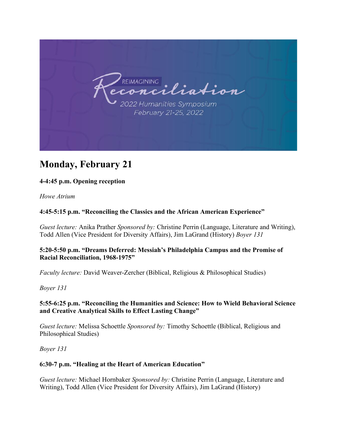

# **Monday, February 21**

#### **4-4:45 p.m. Opening reception**

*Howe Atrium*

#### **4:45-5:15 p.m. "Reconciling the Classics and the African American Experience"**

*Guest lecture:* Anika Prather *Sponsored by:* Christine Perrin (Language, Literature and Writing), Todd Allen (Vice President for Diversity Affairs), Jim LaGrand (History) *Boyer 131* 

#### **5:20-5:50 p.m. "Dreams Deferred: Messiah's Philadelphia Campus and the Promise of Racial Reconciliation, 1968-1975"**

*Faculty lecture:* David Weaver-Zercher (Biblical, Religious & Philosophical Studies)

*Boyer 131* 

#### **5:55-6:25 p.m. "Reconciling the Humanities and Science: How to Wield Behavioral Science and Creative Analytical Skills to Effect Lasting Change"**

*Guest lecture:* Melissa Schoettle *Sponsored by:* Timothy Schoettle (Biblical, Religious and Philosophical Studies)

*Boyer 131* 

#### **6:30-7 p.m. "Healing at the Heart of American Education"**

*Guest lecture:* Michael Hornbaker *Sponsored by:* Christine Perrin (Language, Literature and Writing), Todd Allen (Vice President for Diversity Affairs), Jim LaGrand (History)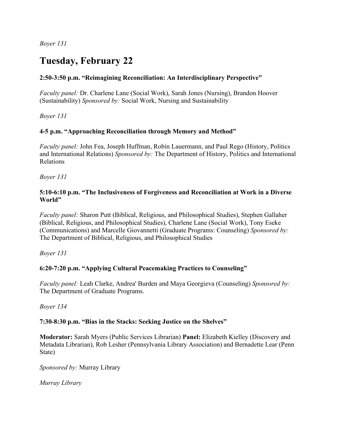*Boyer 131* 

# **Tuesday, February 22**

#### **2:50-3:50 p.m. "Reimagining Reconciliation: An Interdisciplinary Perspective"**

*Faculty panel:* Dr. Charlene Lane (Social Work), Sarah Jones (Nursing), Brandon Hoover (Sustainability) *Sponsored by:* Social Work, Nursing and Sustainability

*Boyer 131* 

#### **4-5 p.m. "Approaching Reconciliation through Memory and Method"**

*Faculty panel:* John Fea, Joseph Huffman, Robin Lauermann, and Paul Rego (History, Politics and International Relations) *Sponsored by:* The Department of History, Politics and International Relations

*Boyer 131* 

#### **5:10-6:10 p.m. "The Inclusiveness of Forgiveness and Reconciliation at Work in a Diverse World"**

*Faculty panel:* Sharon Putt (Biblical, Religious, and Philosophical Studies), Stephen Gallaher (Biblical, Religious, and Philosophical Studies), Charlene Lane (Social Work), Tony Eseke (Communications) and Marcelle Giovannetti (Graduate Programs: Counseling) *Sponsored by:*  The Department of Biblical, Religious, and Philosophical Studies

*Boyer 131* 

#### **6:20-7:20 p.m. "Applying Cultural Peacemaking Practices to Counseling"**

*Faculty panel:* Leah Clarke, Andrea' Burden and Maya Georgieva (Counseling) *Sponsored by:*  The Department of Graduate Programs.

*Boyer 134* 

#### **7:30-8:30 p.m. "Bias in the Stacks: Seeking Justice on the Shelves"**

**Moderator:** Sarah Myers (Public Services Librarian) **Panel:** Elizabeth Kielley (Discovery and Metadata Librarian), Rob Lesher (Pennsylvania Library Association) and Bernadette Lear (Penn State)

*Sponsored by:* Murray Library

*Murray Library*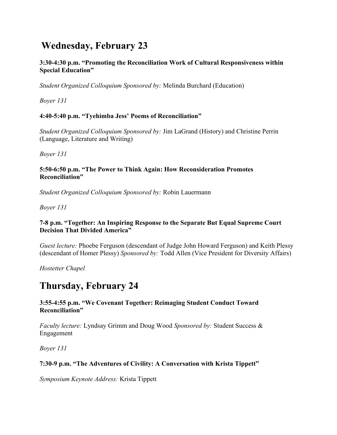# **Wednesday, February 23**

**3:30-4:30 p.m. "Promoting the Reconciliation Work of Cultural Responsiveness within Special Education"** 

*Student Organized Colloquium Sponsored by:* Melinda Burchard (Education)

*Boyer 131* 

#### **4:40-5:40 p.m. "Tyehimba Jess' Poems of Reconciliation"**

*Student Organized Colloquium Sponsored by:* Jim LaGrand (History) and Christine Perrin (Language, Literature and Writing)

*Boyer 131* 

#### **5:50-6:50 p.m. "The Power to Think Again: How Reconsideration Promotes Reconciliation"**

*Student Organized Colloquium Sponsored by:* Robin Lauermann

*Boyer 131* 

#### **7-8 p.m. "Together: An Inspiring Response to the Separate But Equal Supreme Court Decision That Divided America"**

*Guest lecture:* Phoebe Ferguson (descendant of Judge John Howard Ferguson) and Keith Plessy (descendant of Homer Plessy) *Sponsored by:* Todd Allen (Vice President for Diversity Affairs)

*Hostetter Chapel* 

## **Thursday, February 24**

#### **3:55-4:55 p.m. "We Covenant Together: Reimaging Student Conduct Toward Reconciliation"**

*Faculty lecture:* Lyndsay Grimm and Doug Wood *Sponsored by:* Student Success & Engagement

*Boyer 131* 

#### **7:30-9 p.m. "The Adventures of Civility: A Conversation with Krista Tippett"**

*Symposium Keynote Address:* Krista Tippett